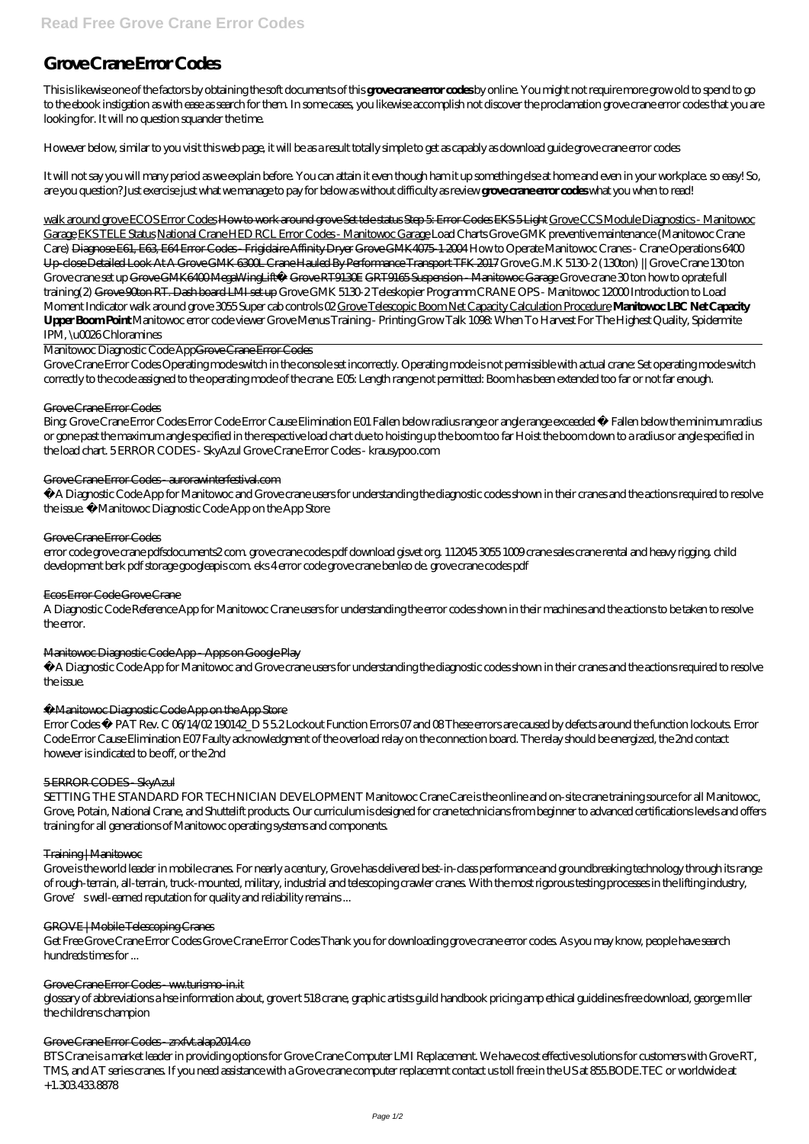# **Grove Crane Error Codes**

This is likewise one of the factors by obtaining the soft documents of this **grove crane error codes** by online. You might not require more grow old to spend to go to the ebook instigation as with ease as search for them. In some cases, you likewise accomplish not discover the proclamation grove crane error codes that you are looking for. It will no question squander the time.

However below, similar to you visit this web page, it will be as a result totally simple to get as capably as download guide grove crane error codes

It will not say you will many period as we explain before. You can attain it even though ham it up something else at home and even in your workplace. so easy! So, are you question? Just exercise just what we manage to pay for below as without difficulty as review **grove crane error codes** what you when to read!

walk around grove ECOS Error Codes How to work around grove Set tele status Step 5: Error Codes EKS 5 Light Grove CCS Module Diagnostics - Manitowoc Garage EKS TELE Status National Crane HED RCL Error Codes - Manitowoc Garage *Load Charts Grove GMK preventive maintenance (Manitowoc Crane Care)* Diagnose E61, E63, E64 Error Codes - Frigidaire Affinity Dryer Grove GMK4075-1 2004 *How to Operate Manitowoc Cranes - Crane Operations 6400* Up-close Detailed Look At A Grove GMK 6300L Crane Hauled By Performance Transport TFK 2017 *Grove G.M.K 5130-2 (130ton) || Grove Crane 130 ton Grove crane set up* Grove GMK6400 MegaWingLift™ Grove RT9130E GRT9165 Suspension - Manitowoc Garage *Grove crane 30 ton how to oprate full training(2)* Grove 90ton RT. Dash board LMI set up *Grove GMK 5130-2 Teleskopier Programm CRANE OPS - Manitowoc 12000 Introduction to Load Moment Indicator walk around grove 3055 Super cab controls 02* Grove Telescopic Boom Net Capacity Calculation Procedure **Manitowoc LBC Net Capacity Upper Boom Point** *Manitowoc error code viewer* Grove Menus Training - Printing Grow Talk 1098: When To Harvest For The Highest Quality, Spidermite IPM, \u0026 Chloramines

Manitowoc Diagnostic Code AppGrove Crane Error Codes

Grove Crane Error Codes Operating mode switch in the console set incorrectly. Operating mode is not permissible with actual crane: Set operating mode switch correctly to the code assigned to the operating mode of the crane. E05: Length range not permitted: Boom has been extended too far or not far enough.

Grove is the world leader in mobile cranes. For nearly a century, Grove has delivered best-in-class performance and groundbreaking technology through its range of rough-terrain, all-terrain, truck-mounted, military, industrial and telescoping crawler cranes. With the most rigorous testing processes in the lifting industry, Grove's well-earned reputation for quality and reliability remains...

## Grove Crane Error Codes

Bing: Grove Crane Error Codes Error Code Error Cause Elimination E01 Fallen below radius range or angle range exceeded • Fallen below the minimum radius or gone past the maximum angle specified in the respective load chart due to hoisting up the boom too far Hoist the boom down to a radius or angle specified in the load chart. 5 ERROR CODES - SkyAzul Grove Crane Error Codes - krausypoo.com

## Grove Crane Error Codes - aurorawinterfestival.com

A Diagnostic Code App for Manitowoc and Grove crane users for understanding the diagnostic codes shown in their cranes and the actions required to resolve the issue. Manitowoc Diagnostic Code App on the App Store

### Grove Crane Error Codes

error code grove crane pdfsdocuments2 com. grove crane codes pdf download gisvet org. 112045 3055 1009 crane sales crane rental and heavy rigging. child development berk pdf storage googleapis com. eks 4 error code grove crane benleo de. grove crane codes pdf

## Ecos Error Code Grove Crane

A Diagnostic Code Reference App for Manitowoc Crane users for understanding the error codes shown in their machines and the actions to be taken to resolve the error.

## Manitowoc Diagnostic Code App - Apps on Google Play

A Diagnostic Code App for Manitowoc and Grove crane users for understanding the diagnostic codes shown in their cranes and the actions required to resolve the issue.

## Manitowoc Diagnostic Code App on the App Store

Error Codes © PAT Rev. C 06/14/02 190142\_D 5 5.2 Lockout Function Errors 07 and 08 These errors are caused by defects around the function lockouts. Error Code Error Cause Elimination E07 Faulty acknowledgment of the overload relay on the connection board. The relay should be energized, the 2nd contact however is indicated to be off, or the 2nd

## 5 ERROR CODES - SkyAzul

SETTING THE STANDARD FOR TECHNICIAN DEVELOPMENT Manitowoc Crane Care is the online and on-site crane training source for all Manitowoc, Grove, Potain, National Crane, and Shuttelift products. Our curriculum is designed for crane technicians from beginner to advanced certifications levels and offers training for all generations of Manitowoc operating systems and components.

### Training | Manitowoc

#### GROVE | Mobile Telescoping Cranes

Get Free Grove Crane Error Codes Grove Crane Error Codes Thank you for downloading grove crane error codes. As you may know, people have search hundreds times for ...

#### Grove Crane Error Codes - ww.turismo-in.it

glossary of abbreviations a hse information about, grove rt 518 crane, graphic artists guild handbook pricing amp ethical guidelines free download, george m ller the childrens champion

#### Grove Crane Error Codes - zrxfvt.alap2014.co

BTS Crane is a market leader in providing options for Grove Crane Computer LMI Replacement. We have cost effective solutions for customers with Grove RT, TMS, and AT series cranes. If you need assistance with a Grove crane computer replacemnt contact us toll free in the US at 855.BODE.TEC or worldwide at +1.303.433.8878